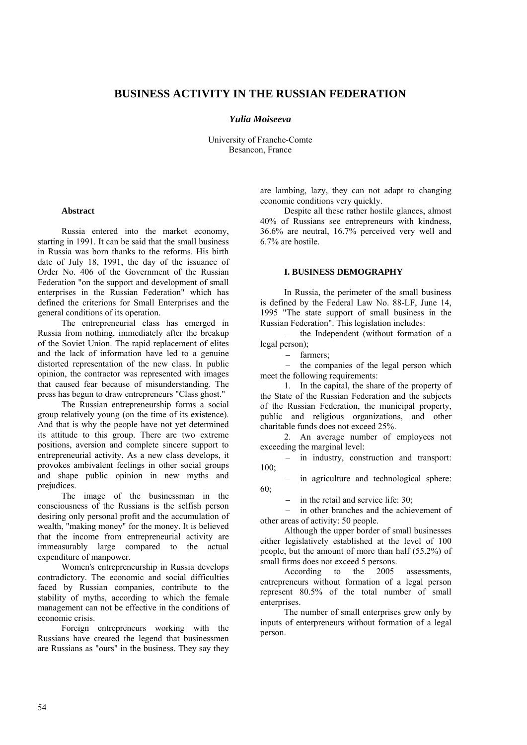# **B[USINESS ACTIVITY](http://www.multitran.ru/c/m.exe?t=3614396_1_2) IN THE RUSSIAN FEDERATION**

#### *Yulia Moiseeva*

University of Franche-Comte Besancon, France

#### **Abstract**

Russia entered into the market economy, starting in 1991. It can be said that the small business in Russia was born thanks to the reforms. His birth date of July 18, 1991, the day of the issuance of Order No. 406 of the Government of the Russian Federation "on the support and development of small enterprises in the Russian Federation" which has defined the criterions for Small Enterprises and the general conditions of its operation.

The entrepreneurial class has emerged in Russia from nothing, immediately after the breakup of the Soviet Union. The rapid replacement of elites and the lack of information have led to a genuine distorted representation of the new class. In public opinion, the contractor was represented with images that caused fear because of misunderstanding. The press has begun to draw entrepreneurs "Class ghost."

The Russian entrepreneurship forms a social group relatively young (on the time of its existence). And that is why the people have not yet determined its attitude to this group. There are two extreme positions, aversion and complete sincere support to entrepreneurial activity. As a new class develops, it provokes ambivalent feelings in other social groups and shape public opinion in new myths and prejudices.

The image of the businessman in the consciousness of the Russians is the selfish person desiring only personal profit and the accumulation of wealth, "making money" for the money. It is believed that the income from entrepreneurial activity are immeasurably large compared to the actual expenditure of manpower.

Women's entrepreneurship in Russia develops contradictory. The economic and social difficulties faced by Russian companies, contribute to the stability of myths, according to which the female management can not be effective in the conditions of economic crisis.

Foreign entrepreneurs working with the Russians have created the legend that businessmen are Russians as "ours" in the business. They say they are lambing, lazy, they can not adapt to changing economic conditions very quickly.

Despite all these rather hostile glances, almost 40% of Russians see entrepreneurs with kindness, 36.6% are neutral, 16.7% perceived very well and 6.7% are hostile.

#### **I. BUSINESS DEMOGRAPHY**

In Russia, the perimeter of the small business is defined by the Federal Law No. 88-LF, June 14, 1995 "The state support of small business in the Russian Federation". This legislation includes:

− the Independent (without formation of a legal person);

− farmers;

the companies of the legal person which meet the following requirements:

1. In the capital, the share of the property of the State of the Russian Federation and the subjects of the Russian Federation, the municipal property, public and religious organizations, and other charitable funds does not exceed 25%.

2. An average number of employees not exceeding the marginal level:

in industry, construction and transport: 100;

− in agriculture and technological sphere: 60;

− in the retail and service life: 30;

− in other branches and the achievement of other areas of activity: 50 people.

Although the upper border of small businesses either legislatively established at the level of 100 people, but the amount of more than half (55.2%) of small firms does not exceed 5 persons.

According to the 2005 assessments, entrepreneurs without formation of a legal person represent 80.5% of the total number of small enterprises.

The number of small enterprises grew only by inputs of enterpreneurs without formation of a legal person.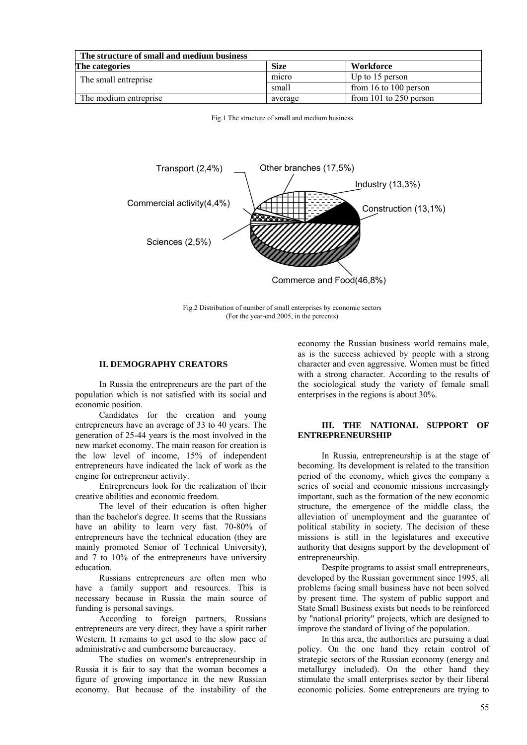| The structure of small and medium business |             |                        |  |  |  |  |
|--------------------------------------------|-------------|------------------------|--|--|--|--|
| The categories                             | <b>Size</b> | Workforce              |  |  |  |  |
| The small entreprise                       | micro       | Up to 15 person        |  |  |  |  |
|                                            | small       | from 16 to 100 person  |  |  |  |  |
| The medium entreprise                      | average     | from 101 to 250 person |  |  |  |  |

Fig.1 The structure of small and medium business



Fig.2 Distribution of number of small enterprises by economic sectors (For the year-end 2005, in the percents)

#### **II. DEMOGRAPHY CREATORS**

In Russia the entrepreneurs are the part of the population which is not satisfied with its social and economic position.

Candidates for the creation and young entrepreneurs have an average of 33 to 40 years. The generation of 25-44 years is the most involved in the new market economy. The main reason for creation is the low level of income, 15% of independent entrepreneurs have indicated the lack of work as the engine for entrepreneur activity.

Entrepreneurs look for the realization of their creative abilities and economic freedom.

The level of their education is often higher than the bachelor's degree. It seems that the Russians have an ability to learn very fast. 70-80% of entrepreneurs have the technical education (they are mainly promoted Senior of Technical University), and 7 to 10% of the entrepreneurs have university education.

Russians entrepreneurs are often men who have a family support and resources. This is necessary because in Russia the main source of funding is personal savings.

According to foreign partners, Russians entrepreneurs are very direct, they have a spirit rather Western. It remains to get used to the slow pace of administrative and cumbersome bureaucracy.

The studies on women's entrepreneurship in Russia it is fair to say that the woman becomes a figure of growing importance in the new Russian economy. But because of the instability of the

economy the Russian business world remains male, as is the success achieved by people with a strong character and even aggressive. Women must be fitted with a strong character. According to the results of the sociological study the variety of female small enterprises in the regions is about 30%.

### **III. THE NATIONAL SUPPORT OF ENTR EPRENEURSHIP**

In Russia, entrepreneurship is at the stage of becom ing. Its development is related to the transition period of the economy, which gives the company a series of social and economic missions increasingly important, such as the formation of the new economic structure, the emergence of the middle class, the alleviation of unemployment and the guarantee of political stability in society. The decision of these missions is still in the legislatures and executive authority that designs support by the development of entrepreneurship.

Despite programs to assist small entrepreneurs, develo ped by the Russian government since 1995, all problems facing small business have not been solved by present time. The system of public support and State Small Business exists but needs to be reinforced by "national priority" projects, which are designed to improve the standard of living of the population.

In this area, the authorities are pursuing a dual policy . On the one hand they retain control of economic policies. Some entrepreneurs are trying to strategic sectors of the Russian economy (energy and metallurgy included). On the other hand they stimulate the small enterprises sector by their liberal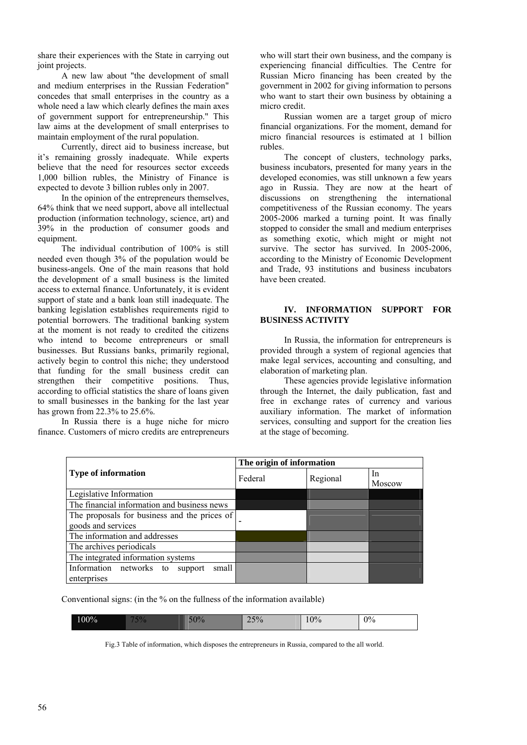share their experiences with the State in carrying out joint projects.

A new law about "the development of small and medium enterprises in the Russian Federation" conced es that small enterprises in the country as a whole need a law which clearly defines the main axes of government support for entrepreneurship." This law aims at the development of small enterprises to maintain employment of the rural population.

it's remaining grossly inadequate. While experts believ e that the need for resources sector exceeds Currently, direct aid to business increase, but 1,000 billion rubles, the Ministry of Finance is expected to devote 3 billion rubles only in 2007.

64% think that we need support, above all intellectual produc tion (information technology, science, art) and In the opinion of the entrepreneurs themselves, 39% in the production of consumer goods and equipment.

needed even though 3% of the population would be busine ss-angels. One of the main reasons that hold The individual contribution of 100% is still the development of a small business is the limited access to external finance. Unfortunately, it is evident support of state and a bank loan still inadequate. The banking legislation establishes requirements rigid to potential borrowers. The traditional banking system at the moment is not ready to credited the citizens who intend to become entrepreneurs or small businesses. But Russians banks, primarily regional, actively begin to control this niche; they understood that funding for the small business credit can strengthen their competitive positions. Thus, according to official statistics the share of loans given to small businesses in the banking for the last year has grown from 22.3% to 25.6%.

finance. Customers of micro credits are entrepreneurs In Russia there is a huge niche for micro who will start their own business, and the company is experiencing financial difficulties. The Centre for Russian Micro financing has been created by the government in 2002 for giving information to persons who want to start their own business by obtaining a micro credit.

Russian women are a target group of micro financi al organizations. For the moment, demand for micro financial resources is estimated at 1 billion rubles.

The concept of clusters, technology parks, busine ss incubators, presented for many years in the developed economies, was still unknown a few years ago in Russia. They are now at the heart of discussions on strengthening the international competitiveness of the Russian economy. The years 2005-2006 marked a turning point. It was finally stopped to consider the small and medium enterprises as something exotic, which might or might not survive. The sector has survived. In 2005-2006, according to the Ministry of Economic Development and Trade, 93 institutions and business incubators have been created.

## **V. INFORMATION SUPPORT FOR I BUSIN ESS ACTIVITY**

In Russia, the information for entrepreneurs is provid ed through a system of regional agencies that make legal services, accounting and consulting, and elaboration of marketing plan.

These agencies provide legislative information throug h the Internet, the daily publication, fast and free in exchange rates of currency and various auxiliary information. The market of information services, consulting and support for the creation lies at the stage of becoming.

|                                                                    | The origin of information |          |              |
|--------------------------------------------------------------------|---------------------------|----------|--------------|
| <b>Type of information</b>                                         | Federal                   | Regional | In<br>Moscow |
| Legislative Information                                            |                           |          |              |
| The financial information and business news                        |                           |          |              |
| The proposals for business and the prices of<br>goods and services |                           |          |              |
| The information and addresses                                      |                           |          |              |
| The archives periodicals                                           |                           |          |              |
| The integrated information systems                                 |                           |          |              |
| Information networks to<br>small<br>support<br>enterprises         |                           |          |              |

Conventional signs: (in the % on the fullness of the information available)

| 100% | $\sim$ $\sim$<br>7 U | $\sim$ 0.0<br>, v | 250<br>$25\%$ | 10% | $\Omega$<br>70<br>v |
|------|----------------------|-------------------|---------------|-----|---------------------|

Fig.3 Table of information, which disposes the entrepreneurs in Russia, compared to the all world.